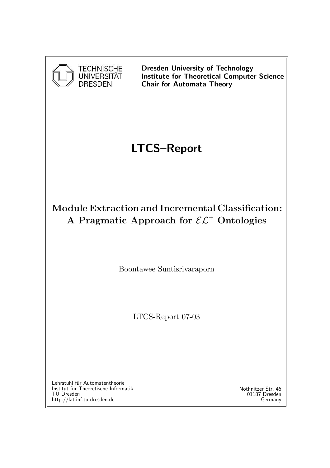

Dresden University of Technology Institute for Theoretical Computer Science Chair for Automata Theory

# LTCS–Report

# Module Extraction and Incremental Classification: A Pragmatic Approach for  $\mathcal{EL}^+$  Ontologies

Boontawee Suntisrivaraporn

LTCS-Report 07-03

Lehrstuhl für Automatentheorie Institut für Theoretische Informatik TU Dresden http://lat.inf.tu-dresden.de

Nöthnitzer Str. 46 01187 Dresden Germany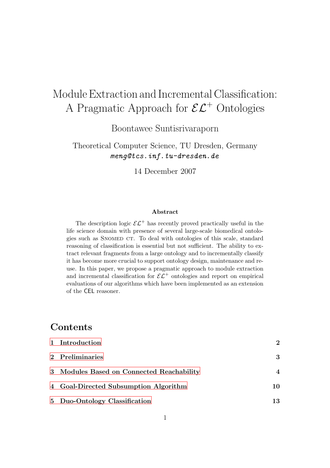# Module Extraction and Incremental Classification: A Pragmatic Approach for  $\mathcal{EL}^+$  Ontologies

Boontawee Suntisrivaraporn

Theoretical Computer Science, TU Dresden, Germany meng@tcs.inf.tu-dresden.de

14 December 2007

#### Abstract

The description logic  $\mathcal{EL}^+$  has recently proved practically useful in the life science domain with presence of several large-scale biomedical ontologies such as SNOMED CT. To deal with ontologies of this scale, standard reasoning of classification is essential but not sufficient. The ability to extract relevant fragments from a large ontology and to incrementally classify it has become more crucial to support ontology design, maintenance and reuse. In this paper, we propose a pragmatic approach to module extraction and incremental classification for  $\mathcal{EL}^+$  ontologies and report on empirical evaluations of our algorithms which have been implemented as an extension of the CEL reasoner.

## **Contents**

| 1 Introduction                            | $\mathcal{D}$          |
|-------------------------------------------|------------------------|
| 2 Preliminaries                           | 3                      |
| 3 Modules Based on Connected Reachability | $\boldsymbol{\Lambda}$ |
| 4 Goal-Directed Subsumption Algorithm     | 10                     |
| 5 Duo-Ontology Classification             | 13                     |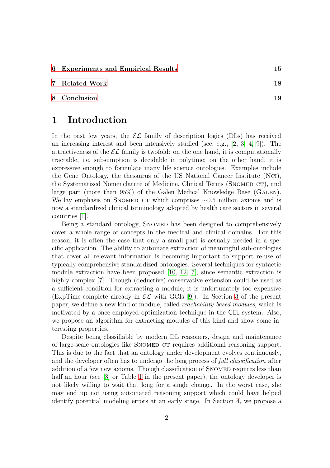|  | 6 Experiments and Empirical Results |  |  |  |  |
|--|-------------------------------------|--|--|--|--|
|--|-------------------------------------|--|--|--|--|

<span id="page-2-0"></span>8 [Conclusion](#page-19-0) 19

#### 1 Introduction

In the past few years, the  $\mathcal{EL}$  family of description logics (DLs) has received an increasing interest and been intensively studied (see, e.g.,  $[2, 3, 4, 9]$  $[2, 3, 4, 9]$  $[2, 3, 4, 9]$  $[2, 3, 4, 9]$  $[2, 3, 4, 9]$  $[2, 3, 4, 9]$  $[2, 3, 4, 9]$ ). The attractiveness of the  $\mathcal{EL}$  family is twofold: on the one hand, it is computationally tractable, i.e. subsumption is decidable in polytime; on the other hand, it is expressive enough to formulate many life science ontologies. Examples include the Gene Ontology, the thesaurus of the US National Cancer Institute (Nci), the Systematized Nomenclature of Medicine, Clinical Terms (SNOMED CT), and large part (more than 95%) of the Galen Medical Knowledge Base (GALEN). We lay emphasis on SNOMED CT which comprises  $\sim 0.5$  million axioms and is now a standardized clinical terminology adopted by health care sectors in several countries [\[1\]](#page-19-3).

Being a standard ontology, SNOMED has been designed to comprehensively cover a whole range of concepts in the medical and clinical domains. For this reason, it is often the case that only a small part is actually needed in a specific application. The ability to automate extraction of meaningful sub-ontologies that cover all relevant information is becoming important to support re-use of typically comprehensive standardized ontologies. Several techniques for syntactic module extraction have been proposed [\[10,](#page-20-2) [12,](#page-20-3) [7\]](#page-20-4), since semantic extraction is highly complex [\[7\]](#page-20-4). Though (deductive) conservative extension could be used as a sufficient condition for extracting a module, it is unfortunately too expensive (ExpTime-complete already in  $\mathcal{EL}$  with GCIs [\[9\]](#page-20-1)). In Section [3](#page-4-0) of the present paper, we define a new kind of module, called reachability-based modules, which is motivated by a once-employed optimization technique in the CEL system. Also, we propose an algorithm for extracting modules of this kind and show some interesting properties.

Despite being classifiable by modern DL reasoners, design and maintenance of large-scale ontologies like SNOMED CT requires additional reasoning support. This is due to the fact that an ontology under development evolves continuously, and the developer often has to undergo the long process of full classification after addition of a few new axioms. Though classification of SNOMED requires less than half an hour (see [\[3\]](#page-19-2) or Table [1](#page-16-0) in the present paper), the ontology developer is not likely willing to wait that long for a single change. In the worst case, she may end up not using automated reasoning support which could have helped identify potential modeling errors at an early stage. In Section [4,](#page-10-0) we propose a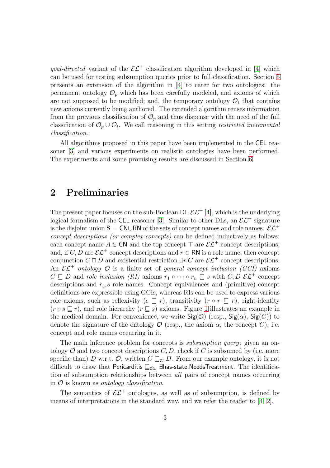goal-directed variant of the  $\mathcal{EL}^+$  classification algorithm developed in [\[4\]](#page-20-0) which can be used for testing subsumption queries prior to full classification. Section [5](#page-13-0) presents an extension of the algorithm in [\[4\]](#page-20-0) to cater for two ontologies: the permanent ontology  $\mathcal{O}_p$  which has been carefully modeled, and axioms of which are not supposed to be modified; and, the temporary ontology  $\mathcal{O}_t$  that contains new axioms currently being authored. The extended algorithm reuses information from the previous classification of  $\mathcal{O}_p$  and thus dispense with the need of the full classification of  $\mathcal{O}_p \cup \mathcal{O}_t$ . We call reasoning in this setting *restricted incremental* classification.

All algorithms proposed in this paper have been implemented in the CEL reasoner [\[3\]](#page-19-2) and various experiments on realistic ontologies have been performed. The experiments and some promising results are discussed in Section [6.](#page-15-0)

### <span id="page-3-0"></span>2 Preliminaries

The present paper focuses on the sub-Boolean DL  $\mathcal{EL}^+$  [\[4\]](#page-20-0), which is the underlying logical formalism of the CEL reasoner [\[3\]](#page-19-2). Similar to other DLs, an  $\mathcal{EL}^+$  signature is the disjoint union  $S = \textsf{CN} \cup \textsf{RN}$  of the sets of concept names and role names.  $\mathcal{EL}^+$ concept descriptions (or complex concepts) can be defined inductively as follows: each concept name  $A \in \mathsf{CN}$  and the top concept  $\top$  are  $\mathcal{EL}^+$  concept descriptions; and, if C, D are  $\mathcal{EL}^+$  concept descriptions and  $r \in \mathsf{RN}$  is a role name, then concept conjunction  $C \sqcap D$  and existential restriction  $\exists r.C$  are  $\mathcal{EL}^+$  concept descriptions. An  $\mathcal{EL}^+$  ontology  $\mathcal O$  is a finite set of general concept inclusion (GCI) axioms  $C \subseteq D$  and role inclusion (RI) axioms  $r_1 \circ \cdots \circ r_n \subseteq s$  with  $C, D \mathcal{EL}^+$  concept descriptions and  $r_i$ , s role names. Concept equivalences and (primitive) concept definitions are expressible using GCIs, whereas RIs can be used to express various role axioms, such as reflexivity ( $\epsilon \subseteq r$ ), transitivity ( $r \circ r \subseteq r$ ), right-identity  $(r \circ s \sqsubseteq r)$ , and role hierarchy  $(r \sqsubseteq s)$  axioms. Figure [1](#page-4-1) illustrates an example in the medical domain. For convenience, we write  $\mathsf{Sig}(\mathcal{O})$  (resp.,  $\mathsf{Sig}(\alpha)$ ,  $\mathsf{Sig}(C)$ ) to denote the signature of the ontology  $\mathcal O$  (resp., the axiom  $\alpha$ , the concept C), i.e. concept and role names occurring in it.

The main inference problem for concepts is *subsumption query*: given an ontology  $\mathcal O$  and two concept descriptions  $C, D$ , check if C is subsumed by (i.e. more specific than) D w.r.t.  $\mathcal{O}$ , written  $C \sqsubseteq_{\mathcal{O}} D$ . From our example ontology, it is not difficult to draw that Pericarditis  $\sqsubseteq_{\mathcal{O}_{\mathsf{ex}}}$  ∃has-state.NeedsTreatment. The identification of subsumption relationships between all pairs of concept names occurring in  $\mathcal O$  is known as *ontology classification*.

The semantics of  $\mathcal{EL}^+$  ontologies, as well as of subsumption, is defined by means of interpretations in the standard way, and we refer the reader to [\[4,](#page-20-0) [2\]](#page-19-1).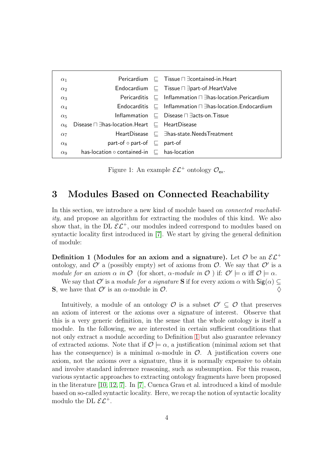| $\alpha_1$            |                                                                         | Pericardium $\quad \sqsubseteq$ Tissue $\sqcap \exists$ contained-in. Heart     |
|-----------------------|-------------------------------------------------------------------------|---------------------------------------------------------------------------------|
| $\alpha_2$            |                                                                         | Endocardium $\quad \sqsubseteq$ Tissue $\sqcap \exists$ part-of. Heart Valve    |
| $\alpha_3$            |                                                                         | Pericarditis $\Box$ Inflammation $\Box$ Thas-location. Pericardium              |
| $\alpha_4$            |                                                                         | Endocarditis $\Box$ Inflammation $\Box$ Thas-location. Endocardium              |
| $\alpha_5$            |                                                                         | Inflammation $\quad \sqsubseteq \quad$ Disease $\sqcap \exists$ acts-on. Tissue |
| $\alpha$ <sub>6</sub> | Disease $\sqcap \exists$ has-location. Heart $\sqsubseteq$ HeartDisease |                                                                                 |
| $\alpha_7$            |                                                                         | HeartDisease $\Box$ $\exists$ has-state.NeedsTreatment                          |
| $\alpha$ <sub>8</sub> | part-of $\circ$ part-of $\sqsubseteq$ part-of                           |                                                                                 |
| $\alpha$ <sup>9</sup> | has-location $\circ$ contained-in $\quad \sqsubseteq$ has-location      |                                                                                 |

<span id="page-4-1"></span>Figure 1: An example  $\mathcal{EL}^+$  ontology  $\mathcal{O}_{ex}$ .

## <span id="page-4-0"></span>3 Modules Based on Connected Reachability

In this section, we introduce a new kind of module based on *connected reachabil*ity, and propose an algorithm for extracting the modules of this kind. We also show that, in the DL  $\mathcal{EL}^+$ , our modules indeed correspond to modules based on syntactic locality first introduced in [\[7\]](#page-20-4). We start by giving the general definition of module:

<span id="page-4-2"></span>Definition 1 (Modules for an axiom and a signature). Let  $\mathcal O$  be an  $\mathcal{EL}^+$ ontology, and  $\mathcal{O}'$  a (possibly empty) set of axioms from  $\mathcal{O}$ . We say that  $\mathcal{O}'$  is a module for an axiom  $\alpha$  in  $\mathcal O$  (for short,  $\alpha$ -module in  $\mathcal O$ ) if:  $\mathcal O' \models \alpha$  iff  $\mathcal O \models \alpha$ .

We say that  $\mathcal{O}'$  is a module for a signature **S** if for every axiom  $\alpha$  with  $\mathsf{Sig}(\alpha) \subseteq$ **S**, we have that  $\mathcal{O}'$  is an  $\alpha$ -module in  $\mathcal{O}$ .

<span id="page-4-3"></span>Intuitively, a module of an ontology  $\mathcal O$  is a subset  $\mathcal O \subseteq \mathcal O$  that preserves an axiom of interest or the axioms over a signature of interest. Observe that this is a very generic definition, in the sense that the whole ontology is itself a module. In the following, we are interested in certain sufficient conditions that not only extract a module according to Definition [1](#page-4-2) but also guarantee relevancy of extracted axioms. Note that if  $\mathcal{O} \models \alpha$ , a justification (minimal axiom set that has the consequence) is a minimal  $\alpha$ -module in  $\mathcal{O}$ . A justification covers one axiom, not the axioms over a signature, thus it is normally expensive to obtain and involve standard inference reasoning, such as subsumption. For this reason, various syntactic approaches to extracting ontology fragments have been proposed in the literature [\[10,](#page-20-2) [12,](#page-20-3) [7\]](#page-20-4). In [\[7\]](#page-20-4), Cuenca Grau et al. introduced a kind of module based on so-called syntactic locality. Here, we recap the notion of syntactic locality modulo the DL  $\mathcal{EL}^+$ .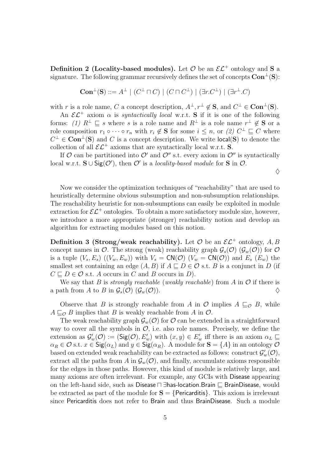Definition 2 (Locality-based modules). Let  $\mathcal O$  be an  $\mathcal E \mathcal L^+$  ontology and S a signature. The following grammar recursively defines the set of concepts  $\mathbf{Con}^\perp(\mathbf{S})$ :

$$
\mathbf{Con}^{\perp}(\mathbf{S}) ::= A^{\perp} \mid (C^{\perp} \sqcap C) \mid (C \sqcap C^{\perp}) \mid (\exists r.C^{\perp}) \mid (\exists r^{\perp}.C)
$$

with r is a role name, C a concept description,  $A^{\perp}, r^{\perp} \notin S$ , and  $C^{\perp} \in \mathbf{Con}^{\perp}(S)$ .

An  $\mathcal{EL}^+$  axiom  $\alpha$  is *syntactically local* w.r.t. S if it is one of the following forms: (1)  $R^{\perp} \sqsubseteq s$  where s is a role name and  $R^{\perp}$  is a role name  $r^{\perp} \notin S$  or a role composition  $r_1 \circ \cdots \circ r_n$  with  $r_i \notin S$  for some  $i \leq n$ , or  $(2)$   $C^{\perp} \sqsubseteq C$  where  $C^{\perp} \in \mathbf{Con}^{\perp}(\mathbf{S})$  and C is a concept description. We write  $\mathsf{local}(\mathbf{S})$  to denote the collection of all  $\mathcal{EL}^+$  axioms that are syntactically local w.r.t. **S**.

If  $\mathcal O$  can be partitioned into  $\mathcal O'$  and  $\mathcal O''$  s.t. every axiom in  $\mathcal O''$  is syntactically local w.r.t.  $\mathbf{S} \cup \mathsf{Sig}(\mathcal{O}')$ , then  $\mathcal{O}'$  is a locality-based module for  $\mathbf{S}$  in  $\mathcal{O}$ .

 $\Diamond$ 

Now we consider the optimization techniques of "reachability" that are used to heuristically determine obvious subsumption and non-subsumption relationships. The reachability heuristic for non-subsumptions can easily be exploited in module extraction for  $\mathcal{EL}^+$  ontologies. To obtain a more satisfactory module size, however, we introduce a more appropriate (stronger) reachability notion and develop an algorithm for extracting modules based on this notion.

Definition 3 (Strong/weak reachability). Let  $\mathcal O$  be an  $\mathcal E \mathcal L^+$  ontology, A, B concept names in  $\mathcal O$ . The strong (weak) reachability graph  $\mathcal G_s(\mathcal O)$  ( $\mathcal G_w(\mathcal O)$ ) for  $\mathcal O$ is a tuple  $(V_s, E_s)$   $((V_w, E_w))$  with  $V_s = \text{CN}(\mathcal{O})$   $(V_w = \text{CN}(\mathcal{O}))$  and  $E_s$   $(E_w)$  the smallest set containing an edge  $(A, B)$  if  $A \sqsubseteq D \in \mathcal{O}$  s.t. B is a conjunct in D (if  $C \sqsubseteq D \in \mathcal{O}$  s.t. A occurs in C and B occurs in D).

We say that B is *strongly reachable* (weakly reachable) from A in  $\mathcal O$  if there is a path from A to B in  $\mathcal{G}_s(\mathcal{O})$   $(\mathcal{G}_w(\mathcal{O}))$ .

Observe that B is strongly reachable from A in  $\mathcal O$  implies  $A \sqsubseteq_{\mathcal O} B$ , while  $A \sqsubseteq_{\mathcal{O}} B$  implies that B is weakly reachable from A in  $\mathcal{O}$ .

The weak reachability graph  $\mathcal{G}_w(\mathcal{O})$  for  $\mathcal{O}$  can be extended in a straightforward way to cover all the symbols in  $\mathcal{O}$ , i.e. also role names. Precisely, we define the extension as  $\mathcal{G}'_w(\mathcal{O}) := (\mathsf{Sig}(\mathcal{O}), E'_w)$  with  $(x, y) \in E'_w$  iff there is an axiom  $\alpha_L \sqsubseteq$  $\alpha_R \in \mathcal{O}$  s.t.  $x \in \mathsf{Sig}(\alpha_L)$  and  $y \in \mathsf{Sig}(\alpha_R)$ . A module for  $\mathbf{S} = \{A\}$  in an ontology  $\mathcal O$ based on extended weak reachability can be extracted as follows: construct  $\mathcal{G}_{w}'(\mathcal{O}),$ extract all the paths from A in  $\mathcal{G}_{w}(\mathcal{O})$ , and finally, accumulate axioms responsible for the edges in those paths. However, this kind of module is relatively large, and many axioms are often irrelevant. For example, any GCIs with Disease appearing on the left-hand side, such as Disease  $\Box$  ∃has-location. Brain  $\Box$  BrainDisease, would be extracted as part of the module for  $S = \{Pericarditis\}$ . This axiom is irrelevant since Pericarditis does not refer to Brain and thus BrainDisease. Such a module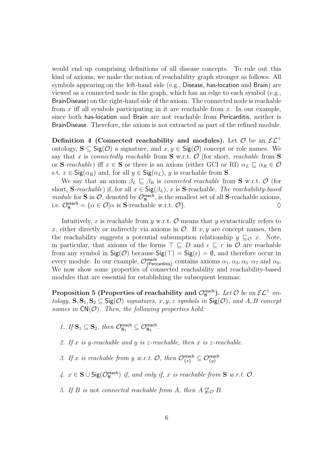would end up comprising definitions of all disease concepts. To rule out this kind of axioms, we make the notion of reachability graph stronger as follows: All symbols appearing on the left-hand side (e.g., Disease, has-location and Brain) are viewed as a connected node in the graph, which has an edge to each symbol (e.g., BrainDisease) on the right-hand side of the axiom. The connected node is reachable from x iff all symbols participating in it are reachable from x. In our example, since both has-location and Brain are not reachable from Pericarditis, neither is BrainDisease. Therefore, the axiom is not extracted as part of the refined module.

Definition 4 (Connected reachability and modules). Let  $\mathcal O$  be an  $\mathcal{EL}^+$ ontology,  $S \subseteq \text{Sig}(\mathcal{O})$  a signature, and  $x, y \in \text{Sig}(\mathcal{O})$  concept or role names. We say that x is connectedly reachable from  $S$  w.r.t.  $O$  (for short, reachable from  $S$ or S-reachable) iff  $x \in S$  or there is an axiom (either GCI or RI)  $\alpha_L \sqsubseteq \alpha_R \in \mathcal{O}$ s.t.  $x \in \mathsf{Sig}(\alpha_R)$  and, for all  $y \in \mathsf{Sig}(\alpha_L)$ , y is reachable from **S**.

We say that an axiom  $\beta_L \subseteq \beta_R$  is *connected reachable* from **S** w.r.t.  $\mathcal{O}$  (for short, S-reachable) if, for all  $x \in \text{Sig}(\beta_L)$ , x is S-reachable. The reachability-based module for **S** in  $\mathcal{O}$ , denoted by  $\mathcal{O}_{\mathbf{S}}^{\text{reach}}$ , is the smallest set of all **S**-reachable axioms, i.e.  $\mathcal{O}_\mathbf{S}^{\text{reach}} = \{ \alpha \in \mathcal{O} | \alpha \text{ is } \mathbf{S}\text{-reachable w.r.t. } \mathcal{O} \}.$ 

Intuitively, x is reachable from y w.r.t.  $\mathcal O$  means that y syntactically refers to x, either directly or indirectly via axioms in  $\mathcal{O}$ . If x, y are concept names, then the reachability suggests a potential subsumption relationship  $y \subseteq_{\mathcal{O}} x$ . Note, in particular, that axioms of the forms  $\top \sqsubseteq D$  and  $\epsilon \sqsubseteq r$  in  $\mathcal O$  are reachable from any symbol in  $\text{Sig}(\mathcal{O})$  because  $\text{Sig}(\tau) = \text{Sig}(\epsilon) = \emptyset$ , and therefore occur in every module. In our example,  $\mathcal{O}_{\{Pericarditis\}}^{reach}$  contains axioms  $\alpha_1, \alpha_3, \alpha_5-\alpha_7$  and  $\alpha_9$ . We now show some properties of connected reachability and reachability-based modules that are essential for establishing the subsequent lemmas:

<span id="page-6-0"></span>Proposition 5 (Properties of reachability and  $\mathcal{O}^{\mathsf{reach}}_\mathbf{S}$ ). Let  $\mathcal O$  be an  $\mathcal{EL}^+$  ontology,  $S, S_1, S_2 \subseteq$  Sig(O) signatures, x, y, z symbols in Sig(O), and A, B concept names in  $CN(\mathcal{O})$ . Then, the following properties hold:

- 1. If  $\mathbf{S}_1 \subseteq \mathbf{S}_2$ , then  $\mathcal{O}_{\mathbf{S}_1}^{\text{reach}} \subseteq \mathcal{O}_{\mathbf{S}_2}^{\text{reach}}$ .
- 2. If x is y-reachable and y is z-reachable, then x is z-reachable.
- 3. If x is reachable from y w.r.t.  $\mathcal{O}$ , then  $\mathcal{O}_{\{x\}}^{\text{reach}} \subseteq \mathcal{O}_{\{y\}}^{\text{reach}}$
- 4.  $x \in S \cup \text{Sig}(\mathcal{O}_S^{\text{reach}})$  if, and only if, x is reachable from S w.r.t.  $\mathcal{O}$ .
- 5. If B is not connected reachable from A, then  $A \not\sqsubseteq_{\mathcal{O}} B$ .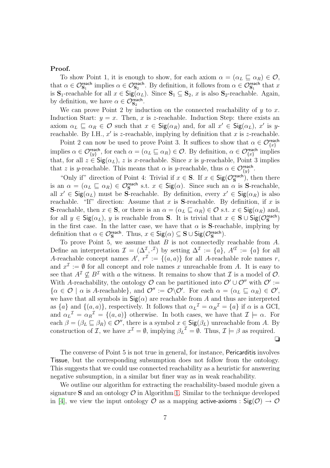#### Proof.

To show Point 1, it is enough to show, for each axiom  $\alpha = (\alpha_L \sqsubseteq \alpha_R) \in \mathcal{O}$ , that  $\alpha \in \mathcal{O}_{\mathbf{S}_1}^{\text{reach}}$  implies  $\alpha \in \mathcal{O}_{\mathbf{S}_2}^{\text{reach}}$ . By definition, it follows from  $\alpha \in \mathcal{O}_{\mathbf{S}_1}^{\text{reach}}$  that x is  $S_1$ -reachable for all  $x \in \text{Sig}(\alpha_L)$ . Since  $S_1 \subseteq S_2$ , x is also  $S_2$ -reachable. Again, by definition, we have  $\alpha \in \mathcal{O}_{\mathbf{S}_2}^{\mathsf{reach}}$ .

We can prove Point 2 by induction on the connected reachability of  $y$  to  $x$ . Induction Start:  $y = x$ . Then, x is z-reachable. Induction Step: there exists an axiom  $\alpha_L \subseteq \alpha_R \in \mathcal{O}$  such that  $x \in \mathsf{Sig}(\alpha_R)$  and, for all  $x' \in \mathsf{Sig}(\alpha_L)$ ,  $x'$  is yreachable. By I.H.,  $x'$  is z-reachable, implying by definition that  $x$  is z-reachable.

Point 2 can now be used to prove Point 3. It suffices to show that  $\alpha \in \mathcal{O}_{\{x\}}^{\text{reach}}$ implies  $\alpha \in \mathcal{O}_{\{y\}}^{\text{reach}}$ , for each  $\alpha = (\alpha_L \sqsubseteq \alpha_R) \in \mathcal{O}$ . By definition,  $\alpha \in \mathcal{O}_{\{x\}}^{\text{reach}}$  implies that, for all  $z \in \text{Sig}(\alpha_L)$ , z is x-reachable. Since x is y-reachable, Point 3 implies that z is y-reachable. This means that  $\alpha$  is y-reachable, thus  $\alpha \in \mathcal{O}_{\{y\}}^{\text{reach}}$ .

"Only if" direction of Point 4: Trivial if  $x \in S$ . If  $x \in \mathsf{Sig}(\mathcal{O}_S^{\text{reach}})$ , then there is an  $\alpha = (\alpha_L \sqsubseteq \alpha_R) \in \mathcal{O}_S^{\text{reach}}$  s.t.  $x \in \text{Sig}(\alpha)$ . Since such an  $\alpha$  is S-reachable, all  $x' \in \mathsf{Sig}(\alpha_L)$  must be S-reachable. By definition, every  $x' \in \mathsf{Sig}(\alpha_R)$  is also reachable. "If" direction: Assume that x is S-reachable. By definition, if x is **S**-reachable, then  $x \in \mathbf{S}$ , or there is an  $\alpha = (\alpha_L \sqsubseteq \alpha_R) \in \mathcal{O}$  s.t.  $x \in \mathsf{Sig}(\alpha_R)$  and, for all  $y \in \mathsf{Sig}(\alpha_L)$ , y is reachable from **S**. It is trivial that  $x \in \mathbf{S} \cup \mathsf{Sig}(\mathcal{O}_{\mathbf{S}}^{\text{reach}})$ in the first case. In the latter case, we have that  $\alpha$  is S-reachable, implying by definition that  $\alpha \in \mathcal{O}_{\mathbf{S}}^{\text{reach}}$ . Thus,  $x \in \mathsf{Sig}(\alpha) \subseteq \mathbf{S} \cup \mathsf{Sig}(\mathcal{O}_{\mathbf{S}}^{\text{reach}})$ .

To prove Point 5, we assume that  $B$  is not connectedly reachable from  $A$ . Define an interpretation  $\mathcal{I} = (\Delta^{\mathcal{I}}, \cdot^{\mathcal{I}})$  by setting  $\Delta^{\mathcal{I}} := \{a\}, A'^{\mathcal{I}} := \{a\}$  for all A-reachable concept names  $A', r^{\mathcal{I}} := \{(a, a)\}\$ for all A-reachable role names r, and  $x^{\mathcal{I}} := \emptyset$  for all concept and role names x unreachable from A. It is easy to see that  $A^{\mathcal{I}} \nsubseteq B^{\mathcal{I}}$  with a the witness. It remains to show that  $\mathcal{I}$  is a model of  $\mathcal{O}$ . With A-reachability, the ontology  $\mathcal O$  can be partitioned into  $\mathcal O' \cup \mathcal O''$  with  $\mathcal O' :=$  $\{\alpha \in \mathcal{O} \mid \alpha \text{ is } A\text{-reachable}\},\$  and  $\mathcal{O}'' := \mathcal{O}\backslash \mathcal{O}'$ . For each  $\alpha = (\alpha_L \sqsubseteq \alpha_R) \in \mathcal{O}',$ we have that all symbols in  $\mathsf{Sig}(\alpha)$  are reachable from A and thus are interpreted as  $\{a\}$  and  $\{(a, a)\}\$ , respectively. It follows that  $\alpha_L^{\mathcal{I}} = \alpha_R^{\mathcal{I}} = \{a\}$  if  $\alpha$  is a GCI, and  $\alpha_L^{\mathcal{I}} = \alpha_R^{\mathcal{I}} = \{(a, a)\}\$  otherwise. In both cases, we have that  $\mathcal{I} \models \alpha$ . For each  $\beta = (\beta_L \sqsubseteq \beta_R) \in \mathcal{O}$ ", there is a symbol  $x \in \mathsf{Sig}(\beta_L)$  unreachable from A. By construction of *I*, we have  $x^{\mathcal{I}} = \emptyset$ , implying  $\beta_L^{\mathcal{I}} = \emptyset$ . Thus,  $\mathcal{I} \models \beta$  as required. ❏

The converse of Point 5 is not true in general, for instance, Pericarditis involves Tissue, but the corresponding subsumption does not follow from the ontology. This suggests that we could use connected reachability as a heuristic for answering negative subsumption, in a similar but finer way as in weak reachability.

We outline our algorithm for extracting the reachability-based module given a signature S and an ontology  $\mathcal O$  in Algorithm [1.](#page-8-0) Similar to the technique developed in [\[4\]](#page-20-0), we view the input ontology  $\mathcal O$  as a mapping active-axioms :  $\text{Sig}(\mathcal O) \to \mathcal O$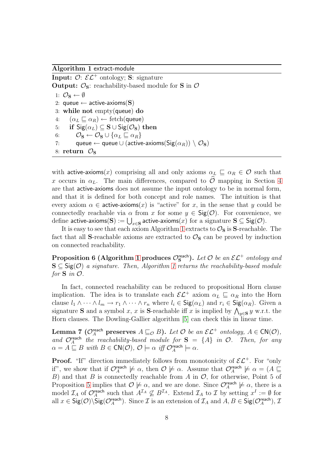<span id="page-8-0"></span>Algorithm 1 extract-module

Input:  $\mathcal{O}$ :  $\mathcal{EL}^+$  ontology; S: signature **Output:**  $\mathcal{O}_S$ : reachability-based module for **S** in  $\mathcal{O}$ 1:  $\mathcal{O}_\mathbf{S} \leftarrow \emptyset$ 2: queue  $\leftarrow$  active-axioms(S) 3: while not empty(queue) do 4:  $(\alpha_L \square \alpha_R) \leftarrow \text{fetch}(\text{queue})$ 5: if  $\text{Sig}(\alpha_L) \subseteq \mathbf{S} \cup \text{Sig}(\mathcal{O}_\mathbf{S})$  then 6:  $\mathcal{O}_\mathbf{S} \leftarrow \mathcal{O}_\mathbf{S} \cup \{\alpha_L \sqsubseteq \alpha_R\}$ 7: queue ← queue ∪ (active-axioms( $\text{Sig}(\alpha_R)$ ) \  $\mathcal{O}_\mathbf{S}$ ) 8: return  $\mathcal{O}_\mathbf{S}$ 

with active-axioms(x) comprising all and only axioms  $\alpha_L \subseteq \alpha_R \in \mathcal{O}$  such that x occurs in  $\alpha_L$ . The main differences, compared to  $\widehat{\mathcal{O}}$  mapping in Section [4](#page-10-0) are that active-axioms does not assume the input ontology to be in normal form, and that it is defined for both concept and role names. The intuition is that every axiom  $\alpha \in \text{active-axioms}(x)$  is "active" for x, in the sense that y could be connectedly reachable via  $\alpha$  from x for some  $y \in \text{Sig}(\mathcal{O})$ . For convenience, we define active-axioms(S) :=  $\bigcup_{x\in S}$  active-axioms(x) for a signature  $S \subseteq \text{Sig}(\mathcal{O})$ .

It is easy to see that each axiom Algorithm [1](#page-8-0) extracts to  $\mathcal{O}_S$  is S-reachable. The fact that all S-reachable axioms are extracted to  $\mathcal{O}_S$  can be proved by induction on connected reachability.

Proposition 6 (Algorithm [1](#page-8-0) produces  $\mathcal{O}_\mathbf{S}^{\mathsf{reach}}$ ). Let  $\mathcal O$  be an  $\mathcal{EL}^+$  ontology and  $S \subseteq \text{Sig}(\mathcal{O})$  a signature. Then, Algorithm [1](#page-8-0) returns the reachability-based module for  $S$  in  $O$ .

In fact, connected reachability can be reduced to propositional Horn clause implication. The idea is to translate each  $\mathcal{EL}^+$  axiom  $\alpha_L \subseteq \alpha_R$  into the Horn clause  $l_1 \wedge \cdots \wedge l_m \rightarrow r_1 \wedge \cdots \wedge r_n$  where  $l_i \in \mathsf{Sig}(\alpha_L)$  and  $r_i \in \mathsf{Sig}(\alpha_R)$ . Given a signature S and a symbol x, x is S-reachable iff x is implied by  $\bigwedge_{y\in S} y$  w.r.t. the Horn clauses. The Dowling-Gallier algorithm [\[5\]](#page-20-5) can check this in linear time.

<span id="page-8-1"></span>**Lemma 7** ( $\mathcal{O}_A^{\text{reach}}$  preserves  $A \sqsubseteq_{\mathcal{O}} B$ ). Let  $\mathcal{O}$  be an  $\mathcal{EL}^+$  ontology,  $A \in \text{CN}(\mathcal{O})$ , and  $\mathcal{O}_A^{\text{reach}}$  the reachability-based module for  $S = \{A\}$  in  $\mathcal{O}$ . Then, for any  $\alpha = A \sqsubseteq B$  with  $B \in \mathsf{CN}(\mathcal{O}), \mathcal{O} \models \alpha$  iff  $\mathcal{O}_A^{\mathsf{reach}} \models \alpha$ .

**Proof.** "If" direction immediately follows from monotonicity of  $\mathcal{EL}^+$ . For "only if", we show that if  $\mathcal{O}_A^{\text{reach}} \not\models \alpha$ , then  $\mathcal{O} \not\models \alpha$ . Assume that  $\mathcal{O}_A^{\text{reach}} \not\models \alpha = (A \sqsubseteq A)$ B) and that B is connectedly reachable from A in  $\mathcal{O}$ , for otherwise, Point 5 of Proposition [5](#page-6-0) implies that  $\mathcal{O} \not\models \alpha$ , and we are done. Since  $\mathcal{O}_A^{\text{reach}} \not\models \alpha$ , there is a model  $\mathcal{I}_A$  of  $\mathcal{O}_A^{\text{reach}}$  such that  $A^{\mathcal{I}_A} \not\subseteq B^{\mathcal{I}_A}$ . Extend  $\mathcal{I}_A$  to  $\mathcal{I}$  by setting  $x^I := \emptyset$  for all  $x \in \mathsf{Sig}(\mathcal{O}) \setminus \mathsf{Sig}(\mathcal{O}_A^{\mathsf{reach}})$ . Since  $\mathcal I$  is an extension of  $\mathcal I_A$  and  $A, B \in \mathsf{Sig}(\mathcal{O}_A^{\mathsf{reach}})$ ,  $\mathcal I$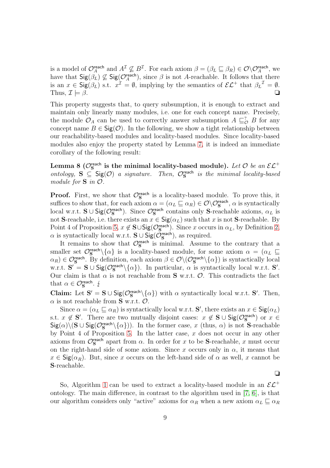is a model of  $\mathcal{O}_A^{\text{reach}}$  and  $A^{\mathcal{I}} \nsubseteq B^{\mathcal{I}}$ . For each axiom  $\beta = (\beta_L \sqsubseteq \beta_R) \in \mathcal{O} \backslash \mathcal{O}_A^{\text{reach}}$ , we have that  $\textsf{Sig}(\hat{\beta}_L) \nsubseteq \textsf{Sig}(\mathcal{O}_A^{\textsf{reach}})$ , since  $\beta$  is not A-reachable. It follows that there is an  $x \in \mathsf{Sig}(\beta_L)$  s.t.  $x^{\mathcal{I}} = \emptyset$ , implying by the semantics of  $\mathcal{EL}^+$  that  $\beta_L^{\mathcal{I}} = \emptyset$ . Thus,  $\mathcal{I} \models \beta$ .

This property suggests that, to query subsumption, it is enough to extract and maintain only linearly many modules, i.e. one for each concept name. Precisely, the module  $\mathcal{O}_A$  can be used to correctly answer subsumption  $A \sqsubseteq_{\mathcal{O}}^? B$  for any concept name  $B \in \mathsf{Sig}(\mathcal{O})$ . In the following, we show a tight relationship between our reachability-based modules and locality-based modules. Since locality-based modules also enjoy the property stated by Lemma [7,](#page-8-1) it is indeed an immediate corollary of the following result:

<span id="page-9-0"></span>Lemma 8 ( $\mathcal{O}_\mathbf{S}^{\text{reach}}$  is the minimal locality-based module). Let  $\mathcal O$  be an  $\mathcal{EL}^+$ ontology,  $S \subseteq \text{Sig}(\mathcal{O})$  a signature. Then,  $\mathcal{O}_S^{\text{reach}}$  is the minimal locality-based module for  $S$  in  $O$ .

**Proof.** First, we show that  $\mathcal{O}_{S}^{reach}$  is a locality-based module. To prove this, it suffices to show that, for each axiom  $\alpha = (\alpha_L \sqsubseteq \alpha_R) \in \mathcal{O} \backslash \mathcal{O}_\mathbf{S}^{\text{reach}}, \alpha$  is syntactically local w.r.t.  $\mathbf{S} \cup \mathsf{Sig}(\mathcal{O}_{\mathbf{S}}^{\mathsf{reach}})$ . Since  $\mathcal{O}_{\mathbf{S}}^{\mathsf{reach}}$  contains only S-reachable axioms,  $\alpha_L$  is not S-reachable, i.e. there exists an  $x \in \mathsf{Sig}(\alpha_L)$  such that x is not S-reachable. By Point 4 of Proposition [5,](#page-6-0)  $x \notin S \cup \mathsf{Sig}(\mathcal{O}_S^{\mathsf{reach}})$ . Since x occurs in  $\alpha_L$ , by Definition [2,](#page-4-3)  $\alpha$  is syntactically local w.r.t.  $\mathbf{S} \cup \mathsf{Sig}(\tilde{\mathcal{O}}_{\mathbf{S}}^{\mathsf{reach}})$ , as required.

It remains to show that  $\mathcal{O}_S^{\text{reach}}$  is minimal. Assume to the contrary that a smaller set  $\mathcal{O}_{\mathbf{S}}^{\text{reach}}\setminus\{\alpha\}$  is a locality-based module, for some axiom  $\alpha = (\alpha_L \sqsubseteq$  $\alpha_R \in \mathcal{O}_\mathbf{S}^{\text{reach}}$ . By definition, each axiom  $\beta \in \mathcal{O} \setminus (\mathcal{O}_\mathbf{S}^{\text{reach}} \setminus {\alpha})$  is syntactically local w.r.t.  $S' = S \cup \text{Sig}(\mathcal{O}_S^{\text{reach}} \setminus \{\alpha\})$ . In particular,  $\alpha$  is syntactically local w.r.t. S'. Our claim is that  $\alpha$  is not reachable from **S** w.r.t.  $\mathcal{O}$ . This contradicts the fact that  $\alpha \in \mathcal{O}_\mathbf{S}^{\text{reach}}$ .  $\sharp$ 

Claim: Let  $S' = S \cup Sig(\mathcal{O}_S^{reach} \setminus {\{\alpha\}})$  with  $\alpha$  syntactically local w.r.t.  $S'$ . Then,  $\alpha$  is not reachable from **S** w.r.t.  $\mathcal{O}$ .

Since  $\alpha = (\alpha_L \sqsubseteq \alpha_R)$  is syntactically local w.r.t. **S'**, there exists an  $x \in \mathsf{Sig}(\alpha_L)$ s.t.  $x \notin S'$ . There are two mutually disjoint cases:  $x \notin S \cup \text{Sig}(\mathcal{O}_S^{\text{reach}})$  or  $x \in$  $\mathsf{Sig}(\alpha)\setminus (\mathbf{S}\cup\mathsf{Sig}(\mathcal{O}_{\mathbf{S}}^{\mathsf{reach}}\setminus\{\alpha\}))$ . In the former case, x (thus,  $\alpha$ ) is not S-reachable by Point 4 of Proposition [5.](#page-6-0) In the latter case,  $x$  does not occur in any other axioms from  $\mathcal{O}_{\mathbf{S}}^{\text{reach}}$  apart from  $\alpha$ . In order for x to be S-reachable, x must occur on the right-hand side of some axiom. Since x occurs only in  $\alpha$ , it means that  $x \in \text{Sig}(\alpha_R)$ . But, since x occurs on the left-hand side of  $\alpha$  as well, x cannot be S-reachable.

❏

So, Algorithm [1](#page-8-0) can be used to extract a locality-based module in an  $\mathcal{EL}^+$ ontology. The main difference, in contrast to the algorithm used in [\[7,](#page-20-4) [6\]](#page-20-6), is that our algorithm considers only "active" axioms for  $\alpha_R$  when a new axiom  $\alpha_L \sqsubseteq \alpha_R$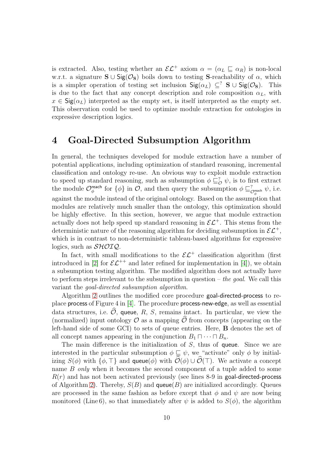is extracted. Also, testing whether an  $\mathcal{EL}^+$  axiom  $\alpha = (\alpha_L \sqsubseteq \alpha_R)$  is non-local w.r.t. a signature  $S \cup \text{Sig}(\mathcal{O}_S)$  boils down to testing S-reachability of  $\alpha$ , which is a simpler operation of testing set inclusion  $\text{Sig}(\alpha_L) \subseteq^? \mathbf{S} \cup \text{Sig}(\mathcal{O}_\mathbf{S})$ . This is due to the fact that any concept description and role composition  $\alpha_L$ , with  $x \in \text{Sig}(\alpha_L)$  interpreted as the empty set, is itself interpreted as the empty set. This observation could be used to optimize module extraction for ontologies in expressive description logics.

#### <span id="page-10-0"></span>4 Goal-Directed Subsumption Algorithm

In general, the techniques developed for module extraction have a number of potential applications, including optimization of standard reasoning, incremental classification and ontology re-use. An obvious way to exploit module extraction to speed up standard reasoning, such as subsumption  $\phi \sqsubseteq_{\mathcal{O}}^? \psi$ , is to first extract the module  $\mathcal{O}_{\phi}^{\text{reach}}$  for  $\{\phi\}$  in  $\mathcal{O}$ , and then query the subsumption  $\phi \sqsubseteq_{\mathcal{O}_{\phi}^{\text{reach}}}^{\infty} \psi$ , i.e. against the module instead of the original ontology. Based on the assumption that modules are relatively much smaller than the ontology, this optimization should be highly effective. In this section, however, we argue that module extraction actually does not help speed up standard reasoning in  $\mathcal{EL}^+$ . This stems from the deterministic nature of the reasoning algorithm for deciding subsumption in  $\mathcal{EL}^+$ , which is in contrast to non-deterministic tableau-based algorithms for expressive logics, such as  $\mathcal{SHOLQ}$ .

In fact, with small modifications to the  $\mathcal{EL}^+$  classification algorithm (first introduced in [\[2\]](#page-19-1) for  $\mathcal{EL}^{++}$  and later refined for implementation in [\[4\]](#page-20-0)), we obtain a subsumption testing algorithm. The modified algorithm does not actually have to perform steps irrelevant to the subsumption in question – the goal. We call this variant the goal-directed subsumption algorithm.

Algorithm [2](#page-21-0) outlines the modified core procedure goal-directed-process to replace process of Figure 4 in [\[4\]](#page-20-0). The procedure process-new-edge, as well as essential data structures, i.e.  $\widehat{\mathcal{O}}$ , queue, R, S, remains intact. In particular, we view the (normalized) input ontology  $\mathcal O$  as a mapping  $\widehat{\mathcal O}$  from concepts (appearing on the left-hand side of some GCI) to sets of queue entries. Here, B denotes the set of all concept names appearing in the conjunction  $B_1 \sqcap \cdots \sqcap B_n$ .

The main difference is the initialization of  $S$ , thus of queue. Since we are interested in the particular subsumption  $\phi \subseteq \psi$ , we "activate" only  $\phi$  by initializing  $S(\phi)$  with  $\{\phi, \top\}$  and queue $(\phi)$  with  $\mathcal{O}(\phi) \cup \mathcal{O}(\top)$ . We activate a concept name B only when it becomes the second component of a tuple added to some  $R(r)$  and has not been activated previously (see lines 8-9 in goal-directed-process of Algorithm [2\)](#page-21-0). Thereby,  $S(B)$  and queue(B) are initialized accordingly. Queues are processed in the same fashion as before except that  $\phi$  and  $\psi$  are now being monitored (Line 6), so that immediately after  $\psi$  is added to  $S(\phi)$ , the algorithm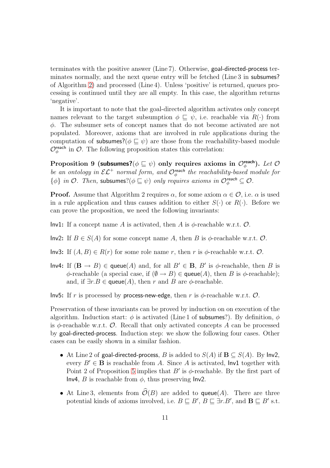terminates with the positive answer (Line 7). Otherwise, goal-directed-process terminates normally, and the next queue entry will be fetched (Line 3 in subsumes? of Algorithm [2\)](#page-21-0) and processed (Line 4). Unless 'positive' is returned, queues processing is continued until they are all empty. In this case, the algorithm returns 'negative'.

It is important to note that the goal-directed algorithm activates only concept names relevant to the target subsumption  $\phi \subseteq \psi$ , i.e. reachable via  $R(\cdot)$  from φ. The subsumer sets of concept names that do not become activated are not populated. Moreover, axioms that are involved in rule applications during the computation of subsumes?( $\phi \sqsubseteq \psi$ ) are those from the reachability-based module  $\mathcal{O}_{\phi}^{\text{reach}}$  in  $\mathcal{O}$ . The following proposition states this correlation:

<span id="page-11-0"></span>Proposition 9 (subsumes? $(\phi \sqsubseteq \psi)$  only requires axioms in  $\mathcal{O}^{\mathsf{reach}}_\phi$ ). Let  $\mathcal O$ be an ontology in  $\mathcal{EL}^+$  normal form, and  $\mathcal{O}_{\phi}^{\mathsf{reach}}$  the reachability-based module for  $\{\phi\}$  in  $\mathcal{O}$ . Then, subsumes? $(\phi \sqsubseteq \psi)$  only requires axioms in  $\mathcal{O}_{\phi}^{\text{reach}} \subseteq \mathcal{O}$ .

**Proof.** Assume that Algorithm 2 requires  $\alpha$ , for some axiom  $\alpha \in \mathcal{O}$ , i.e.  $\alpha$  is used in a rule application and thus causes addition to either  $S(\cdot)$  or  $R(\cdot)$ . Before we can prove the proposition, we need the following invariants:

Inv1: If a concept name A is activated, then A is  $\phi$ -reachable w.r.t.  $\mathcal{O}$ .

Inv2: If  $B \in S(A)$  for some concept name A, then B is  $\phi$ -reachable w.r.t.  $\mathcal{O}$ .

**Inv3:** If  $(A, B) \in R(r)$  for some role name r, then r is  $\phi$ -reachable w.r.t.  $\mathcal{O}$ .

Inv4: If  $(\mathbf{B} \to B) \in \mathsf{queue}(A)$  and, for all  $B' \in \mathbf{B}$ ,  $B'$  is  $\phi$ -reachable, then B is  $\phi$ -reachable (a special case, if  $(\emptyset \to B) \in \mathsf{queue}(A)$ , then B is  $\phi$ -reachable); and, if  $\exists r.B \in \text{queue}(A)$ , then r and B are  $\phi$ -reachable.

Inv5: If r is processed by process-new-edge, then r is  $\phi$ -reachable w.r.t.  $\mathcal{O}$ .

Preservation of these invariants can be proved by induction on on execution of the algorithm. Induction start:  $\phi$  is activated (Line 1 of subsumes?). By definition,  $\phi$ is  $\phi$ -reachable w.r.t. O. Recall that only activated concepts A can be processed by goal-directed-process. Induction step: we show the following four cases. Other cases can be easily shown in a similar fashion.

- At Line 2 of goal-directed-process, B is added to  $S(A)$  if  $B \subseteq S(A)$ . By Inv2, every  $B' \in \mathbf{B}$  is reachable from A. Since A is activated,  $\mathsf{Inv1}$  together with Point 2 of Proposition [5](#page-6-0) implies that  $B'$  is  $\phi$ -reachable. By the first part of Inv4, B is reachable from  $\phi$ , thus preserving Inv2.
- At Line 3, elements from  $\widehat{\mathcal{O}}(B)$  are added to queue(A). There are three potential kinds of axioms involved, i.e.  $B \sqsubseteq B'$ ,  $B \sqsubseteq \exists r.B'$ , and  $B \sqsubseteq B'$  s.t.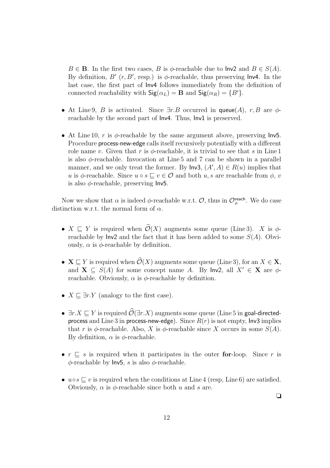$B \in \mathbf{B}$ . In the first two cases, B is  $\phi$ -reachable due to  $\mathsf{Inv2}$  and  $B \in S(A)$ . By definition,  $B'(r, B', \text{resp.})$  is  $\phi$ -reachable, thus preserving lnv4. In the last case, the first part of Inv4 follows immediately from the definition of connected reachability with  $\mathsf{Sig}(\alpha_L) = \mathbf{B}$  and  $\mathsf{Sig}(\alpha_R) = \{B'\}.$ 

- At Line 9, B is activated. Since  $\exists r.B$  occurred in queue(A), r, B are  $\phi$ reachable by the second part of  $Inv4$ . Thus,  $Inv1$  is preserved.
- At Line 10, r is  $\phi$ -reachable by the same argument above, preserving lnv5. Procedure process-new-edge calls itself recursively potentially with a different role name v. Given that r is  $\phi$ -reachable, it is trivial to see that s in Line 1 is also  $\phi$ -reachable. Invocation at Line 5 and 7 can be shown in a parallel manner, and we only treat the former. By  $\mathsf{Inv3}, (A', A) \in R(u)$  implies that u is  $\phi$ -reachable. Since  $u \circ s \subseteq v \in \mathcal{O}$  and both u, s are reachable from  $\phi$ , v is also  $\phi$ -reachable, preserving  $\ln 5$ .

Now we show that  $\alpha$  is indeed  $\phi$ -reachable w.r.t.  $\mathcal{O}$ , thus in  $\mathcal{O}_{\phi}^{\text{reach}}$ . We do case distinction w.r.t. the normal form of  $\alpha$ .

- $X \subseteq Y$  is required when  $\widehat{\mathcal{O}}(X)$  augments some queue (Line 3). X is  $\phi$ reachable by  $Inv2$  and the fact that it has been added to some  $S(A)$ . Obviously,  $\alpha$  is  $\phi$ -reachable by definition.
- $X \subseteq Y$  is required when  $\mathcal{O}(X)$  augments some queue (Line 3), for an  $X \in \mathbf{X}$ , and  $X \subseteq S(A)$  for some concept name A. By  $\mathsf{Inv2}$ , all  $X' \in X$  are  $\phi$ reachable. Obviously,  $\alpha$  is  $\phi$ -reachable by definition.
- $X \sqsubseteq \exists r.Y$  (analogy to the first case).
- $\exists r.X \sqsubset Y$  is required  $\widehat{\mathcal{O}}(\exists r.X)$  augments some queue (Line 5 in goal-directedprocess and Line 3 in process-new-edge). Since  $R(r)$  is not empty, Inv3 implies that r is  $\phi$ -reachable. Also, X is  $\phi$ -reachable since X occurs in some  $S(A)$ . By definition,  $\alpha$  is  $\phi$ -reachable.
- $r \subseteq s$  is required when it participates in the outer for-loop. Since r is  $\phi$ -reachable by **lnv5**, *s* is also  $\phi$ -reachable.
- $u \circ s \sqsubseteq v$  is required when the conditions at Line 4 (resp, Line 6) are satisfied. Obviously,  $\alpha$  is  $\phi$ -reachable since both u and s are.

❏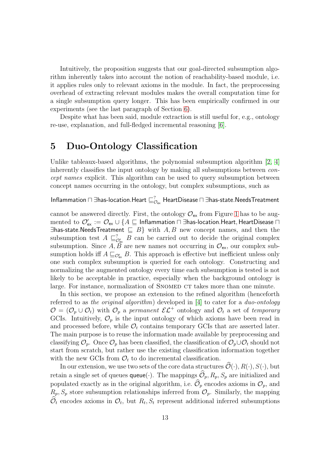Intuitively, the proposition suggests that our goal-directed subsumption algorithm inherently takes into account the notion of reachability-based module, i.e. it applies rules only to relevant axioms in the module. In fact, the preprocessing overhead of extracting relevant modules makes the overall computation time for a single subsumption query longer. This has been empirically confirmed in our experiments (see the last paragraph of Section [6\)](#page-15-0).

Despite what has been said, module extraction is still useful for, e.g., ontology re-use, explanation, and full-fledged incremental reasoning [\[6\]](#page-20-6).

## <span id="page-13-0"></span>5 Duo-Ontology Classification

Unlike tableaux-based algorithms, the polynomial subsumption algorithm  $[2, 4]$  $[2, 4]$  $[2, 4]$ inherently classifies the input ontology by making all subsumptions between concept names explicit. This algorithm can be used to query subsumption between concept names occurring in the ontology, but complex subsumptions, such as

#### Inflammation  $\sqcap$  ∃has-location.Heart  $\sqsubseteq_{\mathcal{O}_{\mathrm{ex}}}^?$  HeartDisease  $\sqcap$  ∃has-state.NeedsTreatment

cannot be answered directly. First, the ontology  $\mathcal{O}_{\mathsf{ex}}$  from Figure [1](#page-4-1) has to be aug- ${\rm mented\,\ to}\ \mathcal O'_{\rm ex}:=\mathcal O_{\rm ex}\cup\{A\sqsubseteq {\sf Inflammation}\sqcap \exists {\sf has\text{-}location}.{\sf Heart}, {\sf HeartDisease}\sqcap$ ∃has-state.NeedsTreatment  $\subseteq$  B} with A, B new concept names, and then the subsumption test  $A \sqsubseteq_{\mathcal{O}'_{\mathsf{ex}}}^? B$  can be carried out to decide the original complex subsumption. Since  $A, \tilde{B}$  are new names not occurring in  $\mathcal{O}_{\text{ex}}$ , our complex subsumption holds iff  $A \sqsubseteq_{\mathcal{O}'_{\mathsf{ex}}} B$ . This approach is effective but inefficient unless only one such complex subsumption is queried for each ontology. Constructing and normalizing the augmented ontology every time each subsumption is tested is not likely to be acceptable in practice, especially when the background ontology is large. For instance, normalization of SNOMED CT takes more than one minute.

In this section, we propose an extension to the refined algorithm (henceforth referred to as the original algorithm) developed in [\[4\]](#page-20-0) to cater for a *duo-ontology*  $\mathcal{O} = (\mathcal{O}_p \cup \mathcal{O}_t)$  with  $\mathcal{O}_p$  a permanent  $\mathcal{EL}^+$  ontology and  $\mathcal{O}_t$  a set of temporary GCIs. Intuitively,  $\mathcal{O}_p$  is the input ontology of which axioms have been read in and processed before, while  $\mathcal{O}_t$  contains temporary GCIs that are asserted later. The main purpose is to reuse the information made available by preprocessing and classifying  $\mathcal{O}_p$ . Once  $\mathcal{O}_p$  has been classified, the classification of  $\mathcal{O}_p \cup \mathcal{O}_t$  should not start from scratch, but rather use the existing classification information together with the new GCIs from  $\mathcal{O}_t$  to do incremental classification.

In our extension, we use two sets of the core data structures  $\widehat{\mathcal{O}}(\cdot), R(\cdot), S(\cdot)$ , but retain a single set of queues queue(.). The mappings  $\widehat{\mathcal{O}}_p$ ,  $R_p$ ,  $S_p$  are initialized and populated exactly as in the original algorithm, i.e.  $\widehat{\mathcal{O}}_p$  encodes axioms in  $\mathcal{O}_p$ , and  $R_p$ ,  $S_p$  store subsumption relationships inferred from  $\mathcal{O}_p$ . Similarly, the mapping  $\mathcal{O}_t$  encodes axioms in  $\mathcal{O}_t$ , but  $R_t, S_t$  represent additional inferred subsumptions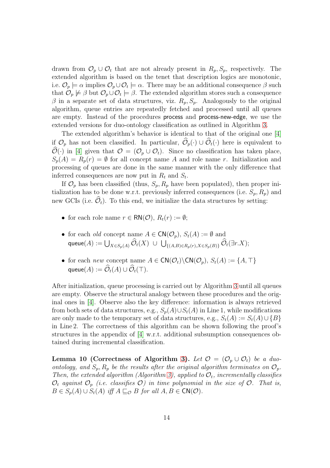drawn from  $\mathcal{O}_p \cup \mathcal{O}_t$  that are not already present in  $R_p, S_p$ , respectively. The extended algorithm is based on the tenet that description logics are monotonic, i.e.  $\mathcal{O}_p \models \alpha$  implies  $\mathcal{O}_p \cup \mathcal{O}_t \models \alpha$ . There may be an additional consequence  $\beta$  such that  $\mathcal{O}_p \not\models \beta$  but  $\mathcal{O}_p \cup \mathcal{O}_t \models \beta$ . The extended algorithm stores such a consequence  $\beta$  in a separate set of data structures, viz.  $R_p$ ,  $S_p$ . Analogously to the original algorithm, queue entries are repeatedly fetched and processed until all queues are empty. Instead of the procedures process and process-new-edge, we use the extended versions for duo-ontology classification as outlined in Algorithm [3.](#page-22-0)

The extended algorithm's behavior is identical to that of the original one [\[4\]](#page-20-0) if  $\mathcal{O}_p$  has not been classified. In particular,  $\widehat{\mathcal{O}}_p(\cdot) \cup \widehat{\mathcal{O}}_t(\cdot)$  here is equivalent to  $\widehat{\mathcal{O}}(\cdot)$  in [\[4\]](#page-20-0) given that  $\mathcal{O} = (\mathcal{O}_p \cup \mathcal{O}_t)$ . Since no classification has taken place,  $S_p(A) = R_p(r) = \emptyset$  for all concept name A and role name r. Initialization and processing of queues are done in the same manner with the only difference that inferred consequences are now put in  $R_t$  and  $S_t$ .

If  $\mathcal{O}_p$  has been classified (thus,  $S_p$ ,  $R_p$  have been populated), then proper initialization has to be done w.r.t. previously inferred consequences (i.e.  $S_p$ ,  $R_p$ ) and new GCIs (i.e.  $\widehat{\mathcal{O}}_t$ ). To this end, we initialize the data structures by setting:

- for each role name  $r \in \mathsf{RN}(\mathcal{O}), R_t(r) := \emptyset;$
- for each *old* concept name  $A \in \mathsf{CN}(\mathcal{O}_n)$ ,  $S_t(A) := \emptyset$  and  $\mathsf{queue}(A) := \bigcup_{X \in S_p(A)} \widehat{\mathcal{O}}_t(X) \ \cup \ \bigcup_{\{(A,B) \in R_p(r), X \in S_p(B)\}} \widehat{\mathcal{O}}_t(\exists r.X);$
- for each new concept name  $A \in \mathsf{CN}(\mathcal{O}_t) \backslash \mathsf{CN}(\mathcal{O}_p), S_t(A) := \{A, \top\}$ queue $(A) := \widehat{\mathcal{O}}_t(A) \cup \widehat{\mathcal{O}}_t(\top).$

After initialization, queue processing is carried out by Algorithm [3](#page-22-0) until all queues are empty. Observe the structural analogy between these procedures and the original ones in [\[4\]](#page-20-0). Observe also the key difference: information is always retrieved from both sets of data structures, e.g.,  $S_p(A) \cup S_t(A)$  in Line 1, while modifications are only made to the temporary set of data structures, e.g.,  $S_t(A) := S_t(A) \cup \{B\}$ in Line 2. The correctness of this algorithm can be shown following the proof's structures in the appendix of [\[4\]](#page-20-0) w.r.t. additional subsumption consequences obtained during incremental classification.

**Lemma 10 (Correctness of Algorithm [3\)](#page-22-0).** Let  $\mathcal{O} = (\mathcal{O}_p \cup \mathcal{O}_t)$  be a duoontology, and  $S_p$ ,  $R_p$  be the results after the original algorithm terminates on  $\mathcal{O}_p$ . Then, the extended algorithm (Algorithm [3\)](#page-22-0), applied to  $\mathcal{O}_t$ , incrementally classifies  $\mathcal{O}_t$  against  $\mathcal{O}_p$  (i.e. classifies  $\mathcal{O}$ ) in time polynomial in the size of  $\mathcal{O}$ . That is,  $B \in S_p(A) \cup S_t(A)$  iff  $A \sqsubseteq_{\mathcal{O}} B$  for all  $A, B \in \mathsf{CN}(\mathcal{O})$ .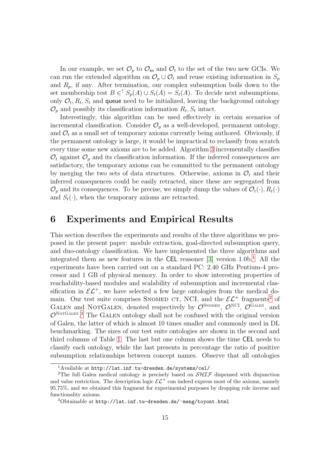In our example, we set  $\mathcal{O}_p$  to  $\mathcal{O}_{ex}$  and  $\mathcal{O}_t$  to the set of the two new GCIs. We can run the extended algorithm on  $\mathcal{O}_p \cup \mathcal{O}_t$  and reuse existing information in  $S_p$ and  $R_p$ , if any. After termination, our complex subsumption boils down to the set membership test  $B \in S_p(A) \cup S_t(A) = S_t(A)$ . To decide next subsumptions, only  $\mathcal{O}_t$ ,  $R_t$ ,  $S_t$  and queue need to be initialized, leaving the background ontology  $\mathcal{O}_p$  and possibly its classification information  $R_t$ ,  $S_t$  intact.

Interestingly, this algorithm can be used effectively in certain scenarios of incremental classification. Consider  $\mathcal{O}_n$  as a well-developed, permanent ontology, and  $\mathcal{O}_t$  as a small set of temporary axioms currently being authored. Obviously, if the permanent ontology is large, it would be impractical to reclassify from scratch every time some new axioms are to be added. Algorithm [3](#page-22-0) incrementally classifies  $\mathcal{O}_t$  against  $\mathcal{O}_p$  and its classification information. If the inferred consequences are satisfactory, the temporary axioms can be committed to the permanent ontology by merging the two sets of data structures. Otherwise, axioms in  $\mathcal{O}_t$  and their inferred consequences could be easily retracted, since these are segregated from  $\mathcal{O}_p$  and its consequences. To be precise, we simply dump the values of  $\mathcal{O}_t(\cdot), R_t(\cdot)$ and  $S_t(\cdot)$ , when the temporary axioms are retracted.

#### <span id="page-15-0"></span>6 Experiments and Empirical Results

This section describes the experiments and results of the three algorithms we proposed in the present paper: module extraction, goal-directed subsumption query, and duo-ontology classification. We have implemented the three algorithms and integrated them as new features in the CEL reasoner  $[3]$  version [1](#page-15-1).0b.<sup>1</sup> All the experiments have been carried out on a standard PC: 2.40 GHz Pentium-4 processor and 1 GB of physical memory. In order to show interesting properties of reachability-based modules and scalability of subsumption and incremental classification in  $\mathcal{EL}^+$ , we have selected a few large ontologies from the medical domain. Our test suite comprises SNOMED CT, NCI, and the  $\mathcal{EL}^+$  fragments<sup>[2](#page-15-2)</sup> of GALEN and NOTGALEN, denoted respectively by  $\mathcal{O}^{\text{SNOMED}}$ ,  $\mathcal{O}^{\text{NCI}}$ ,  $\mathcal{O}^{\text{GALEN}}$ , and  $\mathcal{O}^{\text{NorGALEN}}$ <sup>[3](#page-15-3)</sup> The GALEN ontology shall not be confused with the original version of Galen, the latter of which is almost 10 times smaller and commonly used in DL benchmarking. The sizes of our test suite ontologies are shown in the second and third columns of Table [1.](#page-16-0) The last but one column shows the time CEL needs to classify each ontology, while the last presents in percentage the ratio of positive subsumption relationships between concept names. Observe that all ontologies

<sup>1</sup>Available at http://lat.inf.tu-dresden.de/systems/cel/

<span id="page-15-2"></span><span id="page-15-1"></span><sup>&</sup>lt;sup>2</sup>The full Galen medical ontology is precisely based on  $\mathcal{SHTF}$  dispensed with disjunction and value restriction. The description logic  $\mathcal{EL}^+$  can indeed express most of the axioms, namely 95.75%, and we obtained this fragment for experimental purposes by dropping role inverse and functionality axioms.

<span id="page-15-3"></span><sup>3</sup>Obtainable at http://lat.inf.tu-dresden.de/∼meng/toyont.html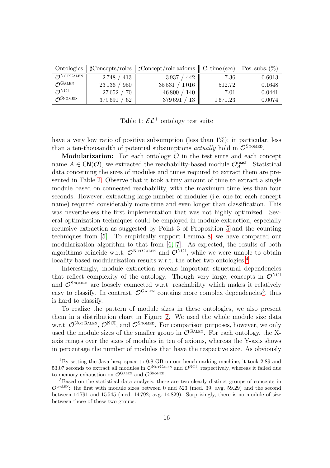| Ontologies                    | $\sharp$ Concepts/roles | $\sharp$ Concept/role axioms | $\parallel$ C. time (sec) | Pos. subs. $(\%)$ |
|-------------------------------|-------------------------|------------------------------|---------------------------|-------------------|
| $\sqrt{N}$ OTGALEN            | 2748/<br>$^\prime$ 413  | 3937<br>442                  | 7.36                      | 0.6013            |
| $\mathcal{O}^{\text{GALEN}}$  | 23 136 / 950            | 35531 /<br>1016              | 512.72                    | 0.1648            |
| $\mathcal{O}^{\text{NCI}}$    | 27652 / 70              | 46 800<br>140                | 7.01                      | 0.0441            |
| $\mathcal{O}^{\text{SNOMED}}$ | 379691<br>62            | 379691<br>13                 | 1671.23                   | 0.0074            |

<span id="page-16-0"></span>Table 1:  $\mathcal{EL}^+$  ontology test suite

have a very low ratio of positive subsumption (less than  $1\%$ ); in particular, less than a ten-thousandth of potential subsumptions *actually* hold in  $\mathcal{O}^{\text{SNOMED}}$ .

**Modularization:** For each ontology  $\mathcal{O}$  in the test suite and each concept name  $A \in \mathsf{CN}(\mathcal{O})$ , we extracted the reachability-based module  $\mathcal{O}_A^{\mathsf{reach}}$ . Statistical data concerning the sizes of modules and times required to extract them are presented in Table [2.](#page-23-0) Observe that it took a tiny amount of time to extract a single module based on connected reachability, with the maximum time less than four seconds. However, extracting large number of modules (i.e. one for each concept name) required considerably more time and even longer than classification. This was nevertheless the first implementation that was not highly optimized. Several optimization techniques could be employed in module extraction, especially recursive extraction as suggested by Point 3 of Proposition [5](#page-6-0) and the counting techniques from [\[5\]](#page-20-5). To empirically support Lemma [8,](#page-9-0) we have compared our modularization algorithm to that from [\[6,](#page-20-6) [7\]](#page-20-4). As expected, the results of both algorithms coincide w.r.t.  $\mathcal{O}^{\text{NorGALEN}}$  and  $\mathcal{O}^{\text{NCI}}$ , while we were unable to obtain locality-based modularization results w.r.t. the other two ontologies.<sup>[4](#page-16-1)</sup>

Interestingly, module extraction reveals important structural dependencies that reflect complexity of the ontology. Though very large, concepts in  $\mathcal{O}^{\text{NCI}}$ and  $\mathcal{O}^{\text{SNOMED}}$  are loosely connected w.r.t. reachability which makes it relatively easy to classify. In contrast,  $\mathcal{O}^{\text{GALEN}}$  contains more complex dependencies<sup>[5](#page-16-2)</sup>, thus is hard to classify.

To realize the pattern of module sizes in these ontologies, we also present them in a distribution chart in Figure [2.](#page-17-0) We used the whole module size data w.r.t.  $\mathcal{O}^{\text{NorGALEN}}$ ,  $\mathcal{O}^{\text{NCI}}$ , and  $\mathcal{O}^{\text{SNOMED}}$ . For comparison purposes, however, we only used the module sizes of the smaller group in  $\mathcal{O}^{GALEN}$ . For each ontology, the Xaxis ranges over the sizes of modules in ten of axioms, whereas the Y-axis shows in percentage the number of modules that have the respective size. As obviously

<span id="page-16-1"></span><sup>4</sup>By setting the Java heap space to 0.8 GB on our benchmarking machine, it took 2.89 and 53.07 seconds to extract all modules in  $\mathcal{O}^{\text{NOTGALEN}}$  and  $\mathcal{O}^{\text{NCI}}$ , respectively, whereas it failed due to memory exhaustion on  $\mathcal{O}^{\text{GALEN}}$  and  $\mathcal{O}^{\text{SNOMED}}$ .

<span id="page-16-2"></span><sup>&</sup>lt;sup>5</sup>Based on the statistical data analysis, there are two clearly distinct groups of concepts in  $\mathcal{O}^{\text{GALEN}}$ : the first with module sizes between 0 and 523 (med. 39; avg. 59.29) and the second between 14 791 and 15 545 (med. 14 792; avg. 14 829). Surprisingly, there is no module of size between those of these two groups.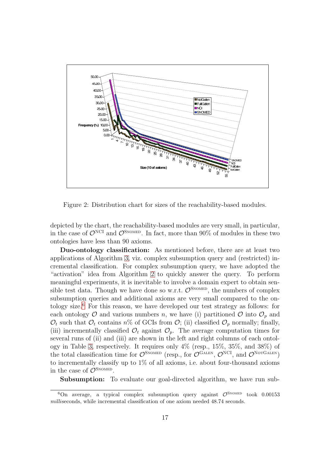

<span id="page-17-0"></span>Figure 2: Distribution chart for sizes of the reachability-based modules.

depicted by the chart, the reachability-based modules are very small, in particular, in the case of  $\mathcal{O}^{\text{NCI}}$  and  $\mathcal{O}^{\text{SnomED}}$ . In fact, more than 90% of modules in these two ontologies have less than 90 axioms.

Duo-ontology classification: As mentioned before, there are at least two applications of Algorithm [3,](#page-22-0) viz. complex subsumption query and (restricted) incremental classification. For complex subsumption query, we have adopted the "activation" idea from Algorithm [2](#page-21-0) to quickly answer the query. To perform meaningful experiments, it is inevitable to involve a domain expert to obtain sensible test data. Though we have done so w.r.t.  $\mathcal{O}^{\text{SNOMED}}$ , the numbers of complex subsumption queries and additional axioms are very small compared to the ontology size.[6](#page-17-1) For this reason, we have developed our test strategy as follows: for each ontology  $\mathcal O$  and various numbers n, we have (i) partitioned  $\mathcal O$  into  $\mathcal O_p$  and  $\mathcal{O}_t$  such that  $\mathcal{O}_t$  contains  $n\%$  of GCIs from  $\mathcal{O}$ ; (ii) classified  $\mathcal{O}_p$  normally; finally, (iii) incrementally classified  $\mathcal{O}_t$  against  $\mathcal{O}_p$ . The average computation times for several runs of (ii) and (iii) are shown in the left and right columns of each ontology in Table [3,](#page-24-0) respectively. It requires only 4% (resp., 15%, 35%, and 38%) of the total classification time for  $\mathcal{O}^{\text{SNOMED}}$  (resp., for  $\mathcal{O}^{\text{GALEN}}$ ,  $\mathcal{O}^{\text{NCI}}$ , and  $\mathcal{O}^{\text{NorGALEN}}$ ) to incrementally classify up to 1% of all axioms, i.e. about four-thousand axioms in the case of  $\mathcal{O}^{\text{Snoned}}$ .

Subsumption: To evaluate our goal-directed algorithm, we have run sub-

<span id="page-17-1"></span><sup>&</sup>lt;sup>6</sup>On average, a typical complex subsumption query against  $\mathcal{O}^{\text{SNOMED}}$  took 0.00153 milliseconds, while incremental classification of one axiom needed 48.74 seconds.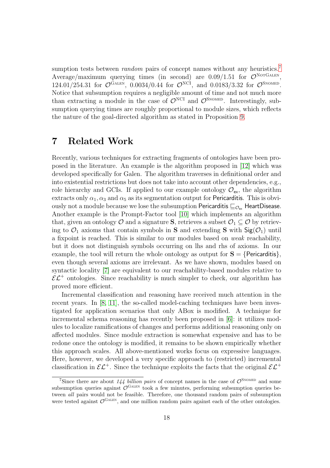sumption tests between *random* pairs of concept names without any heuristics.<sup>[7](#page-18-1)</sup> Average/maximum querying times (in second) are  $0.09/1.51$  for  $\mathcal{O}^{\text{NorGALEN}}$ , 124.01/254.31 for  $\mathcal{O}^{\text{GALEN}}$ , 0.0034/0.44 for  $\mathcal{O}^{\text{NCI}}$ , and 0.0183/3.32 for  $\mathcal{O}^{\text{SNOMED}}$ . Notice that subsumption requires a negligible amount of time and not much more than extracting a module in the case of  $\mathcal{O}^{\text{NCI}}$  and  $\mathcal{O}^{\text{Smomb}}$ . Interestingly, subsumption querying times are roughly proportional to module sizes, which reflects the nature of the goal-directed algorithm as stated in Proposition [9.](#page-11-0)

#### <span id="page-18-0"></span>7 Related Work

Recently, various techniques for extracting fragments of ontologies have been proposed in the literature. An example is the algorithm proposed in [\[12\]](#page-20-3) which was developed specifically for Galen. The algorithm traverses in definitional order and into existential restrictions but does not take into account other dependencies, e.g., role hierarchy and GCIs. If applied to our example ontology  $\mathcal{O}_{ex}$ , the algorithm extracts only  $\alpha_1, \alpha_3$  and  $\alpha_5$  as its segmentation output for Pericarditis. This is obviously not a module because we lose the subsumption Pericarditis  $\Box_{\mathcal{O}_{\infty}}$  HeartDisease. Another example is the Prompt-Factor tool [\[10\]](#page-20-2) which implements an algorithm that, given an ontology  $\mathcal O$  and a signature **S**, retrieves a subset  $\mathcal O_1 \subseteq \mathcal O$  by retrieving to  $\mathcal{O}_1$  axioms that contain symbols in **S** and extending **S** with  $\text{Sig}(\mathcal{O}_1)$  until a fixpoint is reached. This is similar to our modules based on weak reachability, but it does not distinguish symbols occurring on lhs and rhs of axioms. In our example, the tool will return the whole ontology as output for  $S = \{Pericarditis\}$ , even though several axioms are irrelevant. As we have shown, modules based on syntactic locality [\[7\]](#page-20-4) are equivalent to our reachability-based modules relative to  $\mathcal{EL}^+$  ontologies. Since reachability is much simpler to check, our algorithm has proved more efficient.

Incremental classification and reasoning have received much attention in the recent years. In [\[8,](#page-20-7) [11\]](#page-20-8), the so-called model-caching techniques have been investigated for application scenarios that only ABox is modified. A technique for incremental schema reasoning has recently been proposed in [\[6\]](#page-20-6): it utilizes modules to localize ramifications of changes and performs additional reasoning only on affected modules. Since module extraction is somewhat expensive and has to be redone once the ontology is modified, it remains to be shown empirically whether this approach scales. All above-mentioned works focus on expressive languages. Here, however, we developed a very specific approach to (restricted) incremental classification in  $\mathcal{EL}^+$ . Since the technique exploits the facts that the original  $\mathcal{EL}^+$ 

<span id="page-18-1"></span><sup>&</sup>lt;sup>7</sup>Since there are about 144 billion pairs of concept names in the case of  $\mathcal{O}^{\text{SNOMED}}$  and some subsumption queries against  $\mathcal{O}^{\text{GALEN}}$  took a few minutes, performing subsumption queries between all pairs would not be feasible. Therefore, one thousand random pairs of subsumption were tested against  $\mathcal{O}^{GALEN}$ , and one million random pairs against each of the other ontologies.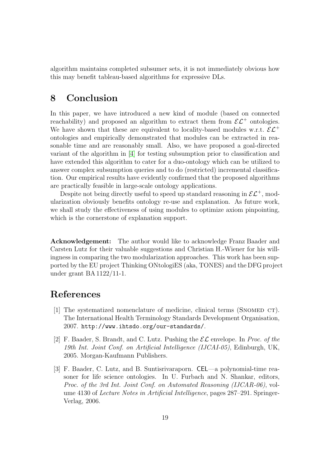algorithm maintains completed subsumer sets, it is not immediately obvious how this may benefit tableau-based algorithms for expressive DLs.

### <span id="page-19-0"></span>8 Conclusion

In this paper, we have introduced a new kind of module (based on connected reachability) and proposed an algorithm to extract them from  $\mathcal{EL}^+$  ontologies. We have shown that these are equivalent to locality-based modules w.r.t.  $\mathcal{EL}^+$ ontologies and empirically demonstrated that modules can be extracted in reasonable time and are reasonably small. Also, we have proposed a goal-directed variant of the algorithm in [\[4\]](#page-20-0) for testing subsumption prior to classification and have extended this algorithm to cater for a duo-ontology which can be utilized to answer complex subsumption queries and to do (restricted) incremental classification. Our empirical results have evidently confirmed that the proposed algorithms are practically feasible in large-scale ontology applications.

Despite not being directly useful to speed up standard reasoning in  $\mathcal{EL}^+$ , modularization obviously benefits ontology re-use and explanation. As future work, we shall study the effectiveness of using modules to optimize axiom pinpointing, which is the cornerstone of explanation support.

Acknowledgement: The author would like to acknowledge Franz Baader and Carsten Lutz for their valuable suggestions and Christian H.-Wiener for his willingness in comparing the two modularization approaches. This work has been supported by the EU project Thinking ONtologiES (aka, TONES) and the DFG project under grant BA 1122/11-1.

### <span id="page-19-3"></span>References

- [1] The systematized nomenclature of medicine, clinical terms (SNOMED CT). The International Health Terminology Standards Development Organisation, 2007. http://www.ihtsdo.org/our-standards/.
- <span id="page-19-1"></span>[2] F. Baader, S. Brandt, and C. Lutz. Pushing the  $\mathcal{EL}$  envelope. In *Proc. of the* 19th Int. Joint Conf. on Artificial Intelligence (IJCAI-05), Edinburgh, UK, 2005. Morgan-Kaufmann Publishers.
- <span id="page-19-2"></span>[3] F. Baader, C. Lutz, and B. Suntisrivaraporn. CEL—a polynomial-time reasoner for life science ontologies. In U. Furbach and N. Shankar, editors, Proc. of the 3rd Int. Joint Conf. on Automated Reasoning (IJCAR-06), volume 4130 of Lecture Notes in Artificial Intelligence, pages 287–291. Springer-Verlag, 2006.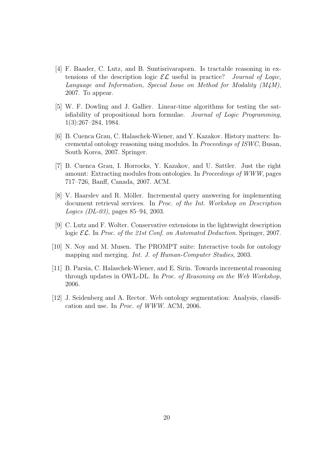- <span id="page-20-0"></span>[4] F. Baader, C. Lutz, and B. Suntisrivaraporn. Is tractable reasoning in extensions of the description logic  $\mathcal{EL}$  useful in practice? Journal of Logic, Language and Information, Special Issue on Method for Modality (M4M), 2007. To appear.
- <span id="page-20-5"></span>[5] W. F. Dowling and J. Gallier. Linear-time algorithms for testing the satisfiability of propositional horn formulae. Journal of Logic Programming, 1(3):267–284, 1984.
- <span id="page-20-6"></span>[6] B. Cuenca Grau, C. Halaschek-Wiener, and Y. Kazakov. History matters: Incremental ontology reasoning using modules. In Proceedings of ISWC, Busan, South Korea, 2007. Springer.
- <span id="page-20-4"></span>[7] B. Cuenca Grau, I. Horrocks, Y. Kazakov, and U. Sattler. Just the right amount: Extracting modules from ontologies. In Proceedings of WWW, pages 717–726, Banff, Canada, 2007. ACM.
- <span id="page-20-7"></span>[8] V. Haarslev and R. Möller. Incremental query answering for implementing document retrieval services. In Proc. of the Int. Workshop on Description Logics (DL-03), pages 85–94, 2003.
- <span id="page-20-1"></span>[9] C. Lutz and F. Wolter. Conservative extensions in the lightweight description logic  $\mathcal{EL}$ . In Proc. of the 21st Conf. on Automated Deduction. Springer, 2007.
- <span id="page-20-8"></span><span id="page-20-2"></span>[10] N. Noy and M. Musen. The PROMPT suite: Interactive tools for ontology mapping and merging. Int. J. of Human-Computer Studies, 2003.
- [11] B. Parsia, C. Halaschek-Wiener, and E. Sirin. Towards incremental reasoning through updates in OWL-DL. In Proc. of Reasoning on the Web Workshop, 2006.
- <span id="page-20-3"></span>[12] J. Seidenberg and A. Rector. Web ontology segmentation: Analysis, classification and use. In Proc. of WWW. ACM, 2006.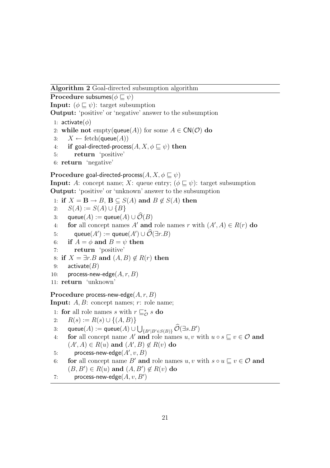<span id="page-21-0"></span>Algorithm 2 Goal-directed subsumption algorithm

Procedure subsumes( $\phi \sqsubseteq \psi$ )

**Input:**  $(\phi \sqsubseteq \psi)$ : target subsumption

Output: 'positive' or 'negative' answer to the subsumption

1: activate $(\phi)$ 

- 2: while not empty(queue(A)) for some  $A \in \mathsf{CN}(\mathcal{O})$  do
- 3:  $X \leftarrow \text{ fetch}(\text{queue}(A))$
- 4: if goal-directed-process $(A, X, \phi \sqsubseteq \psi)$  then
- 5: return 'positive'
- 6: return 'negative'

Procedure goal-directed-process $(A, X, \phi \sqsubset \psi)$ 

**Input:** A: concept name; X: queue entry;  $(\phi \sqsubseteq \psi)$ : target subsumption Output: 'positive' or 'unknown' answer to the subsumption

1: if  $X = \mathbf{B} \to B$ ,  $\mathbf{B} \subseteq S(A)$  and  $B \notin S(A)$  then

$$
2: S(A) := S(A) \cup \{B\}
$$

- 3: queue $(A) :=$  queue $(A) \cup \widehat{\mathcal{O}}(B)$
- 4: for all concept names A' and role names r with  $(A', A) \in R(r)$  do
- 5: queue $(A'):=$  queue $(A')\cup \widetilde{\mathcal{O}}(\exists r.B)$
- 6: if  $A = \phi$  and  $B = \psi$  then
- 7: return 'positive'
- 8: if  $X = \exists r.B$  and  $(A, B) \notin R(r)$  then
- 9: activate $(B)$
- 10: process-new-edge $(A, r, B)$
- 11: return 'unknown'

#### Procedure process-new-edge $(A, r, B)$

**Input:**  $A, B$ : concept names;  $r$ : role name;

- 1: for all role names s with  $r \sqsubseteq_{\mathcal{O}}^* s$  do
- 2:  $R(s) := R(s) \cup \{(A, B)\}\$
- 3: queue $(A) :=$ queue $(A) \cup \bigcup_{\{B'|B' \in S(B)\}} \widehat{\mathcal{O}}(\exists s.B')$
- 4: for all concept name A' and role names u, v with  $u \circ s \sqsubseteq v \in \mathcal{O}$  and  $(A', A) \in R(u)$  and  $(A', B) \notin R(v)$  do
- 5: process-new-edge $(A', v, B)$
- 6: for all concept name B' and role names u, v with  $s \circ u \sqsubseteq v \in \mathcal{O}$  and  $(B, B') \in R(u)$  and  $(A, B') \notin R(v)$  do
- 7: process-new-edge $(A, v, B')$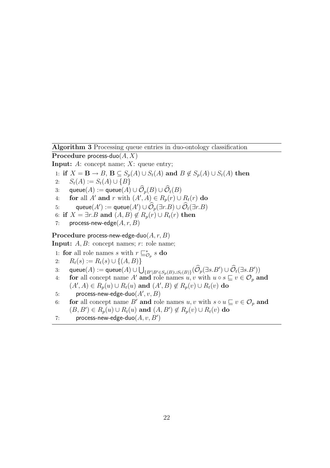<span id="page-22-0"></span>Algorithm 3 Processing queue entries in duo-ontology classification

Procedure process-duo $(A, X)$ 

**Input:**  $A$ : concept name;  $X$ : queue entry;

1: if  $X = \mathbf{B} \to B$ ,  $\mathbf{B} \subseteq S_p(A) \cup S_t(A)$  and  $B \notin S_p(A) \cup S_t(A)$  then

- 2:  $S_t(A) := S_t(A) \cup \{B\}$
- 3: queue $(A) :=$  queue $(A) \cup \widehat{\mathcal{O}}_p(B) \cup \widehat{\mathcal{O}}_t(B)$
- 4: for all A' and r with  $(A', A) \in R_p(r) \cup R_t(r)$  do
- $\mathfrak{so}: \qquad \mathsf{queue}(A') := \mathsf{queue}(A') \cup \hat{\mathcal{O}}_p(\exists r.B) \cup \hat{\mathcal{O}}_t(\exists r.B)$
- 6: if  $X = \exists r.B$  and  $(A, B) \notin R_p(r) \cup R_t(r)$  then
- 7: process-new-edge $(A, r, B)$

Procedure process-new-edge-duo $(A, r, B)$ 

**Input:**  $A, B$ : concept names;  $r$ : role name;

- 1: for all role names s with  $r \sqsubseteq_{\mathcal{O}_p}^* s$  do
- 2:  $R_t(s) := R_t(s) \cup \{(A, B)\}\$
- 3: queue $(A) :=$ queue $(A) \cup \bigcup_{\{B'|B' \in S_p(B) \cup S_t(B)\}} (\widehat{\mathcal{O}}_p(\exists s.B') \cup \widehat{\mathcal{O}}_t(\exists s.B'))$
- 4: for all concept name A' and role names u, v with  $u \circ s \sqsubseteq v \in \mathcal{O}_p$  and  $(A', A) \in R_p(u) \cup R_t(u)$  and  $(A', B) \notin R_p(v) \cup R_t(v)$  do
- 5: process-new-edge-duo $(A', v, B)$
- 6: for all concept name B' and role names u, v with  $s \circ u \subseteq v \in \mathcal{O}_p$  and  $(B, B') \in R_p(u) \cup R_t(u)$  and  $(A, B') \notin R_p(v) \cup R_t(v)$  do
- 7: process-new-edge-duo $(A, v, B')$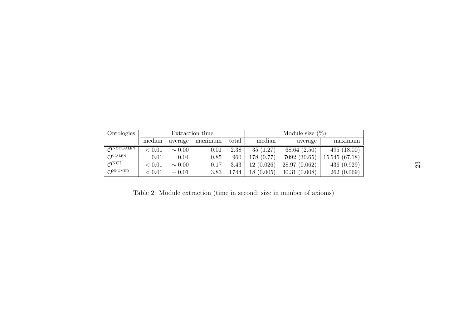<span id="page-23-0"></span>

| Ontologies                    | Extraction time |             |         |       | Module size $(\%)$ |              |                |  |
|-------------------------------|-----------------|-------------|---------|-------|--------------------|--------------|----------------|--|
|                               | median          | average     | maximum | total | median             | average      | maximum        |  |
| $\gamma$ NOTGALEN             | < 0.01          | $\sim 0.00$ | 0.01    | 2.38  | 35(1.27)           | 68.64(2.50)  | 495(18.00)     |  |
| $\mathcal{O}^{\text{GALEN}}$  | 0.01            | 0.04        | 0.85    | 960   | 178(0.77)          | 7092 (30.65) | 15 545 (67.18) |  |
| $\mathcal{O}^{\text{NCI}}$    | < 0.01          | $\sim 0.00$ | 0.17    | 3.43  | 12(0.026)          | 28.97(0.062) | 436(0.929)     |  |
| $\mathcal{O}^{\text{SNOMED}}$ | < 0.01          | $\sim 0.01$ | 3.83    | 3744  | 18(0.005)          | 30.31(0.008) | 262(0.069)     |  |

Table 2: Module extraction (time in second; size in number of axioms)